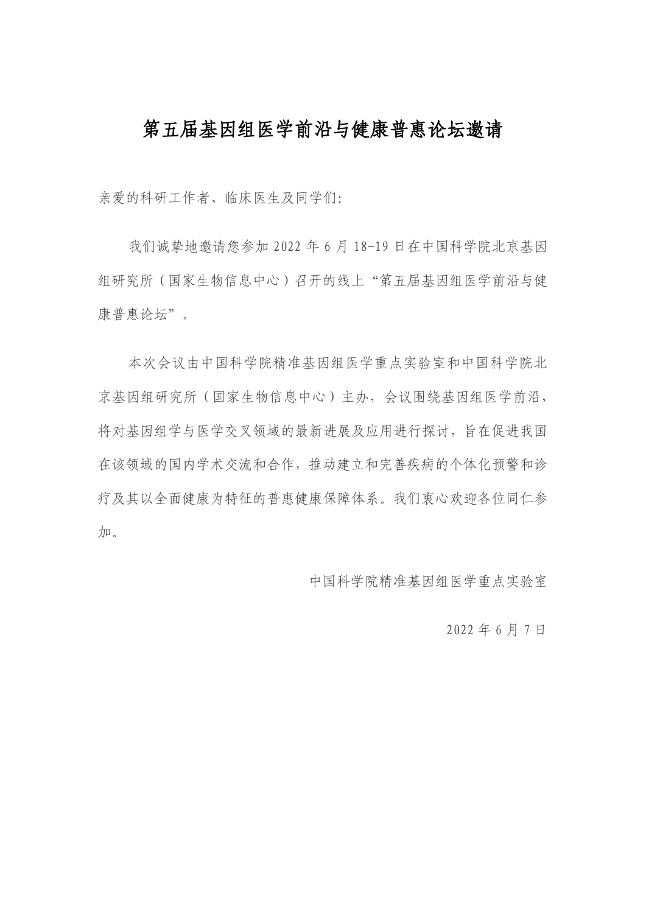# 第五届基因组医学前沿与健康普惠论坛邀请

亲爱的科研工作者、临床医生及同学们:

我们诚挚地邀请您参加 2022 年 6 月 18-19 日在中国科学院北京基因 组研究所(国家生物信息中心)召开的线上"第五届基因组医学前沿与健 康普惠论坛"。

本次会议由中国科学院精准基因组医学重点实验室和中国科学院北 京基因组研究所(国家生物信息中心)主办,会议围绕基因组医学前沿, 将对基因组学与医学交叉领域的最新进展及应用进行探讨,旨在促进我国 在该领域的国内学术交流和合作,推动建立和完善疾病的个体化预警和诊 疗及其以全面健康为特征的普惠健康保障体系。我们衷心欢迎各位同仁参 加。

中国科学院精准基因组医学重点实验室

2022 年 6 月 7 日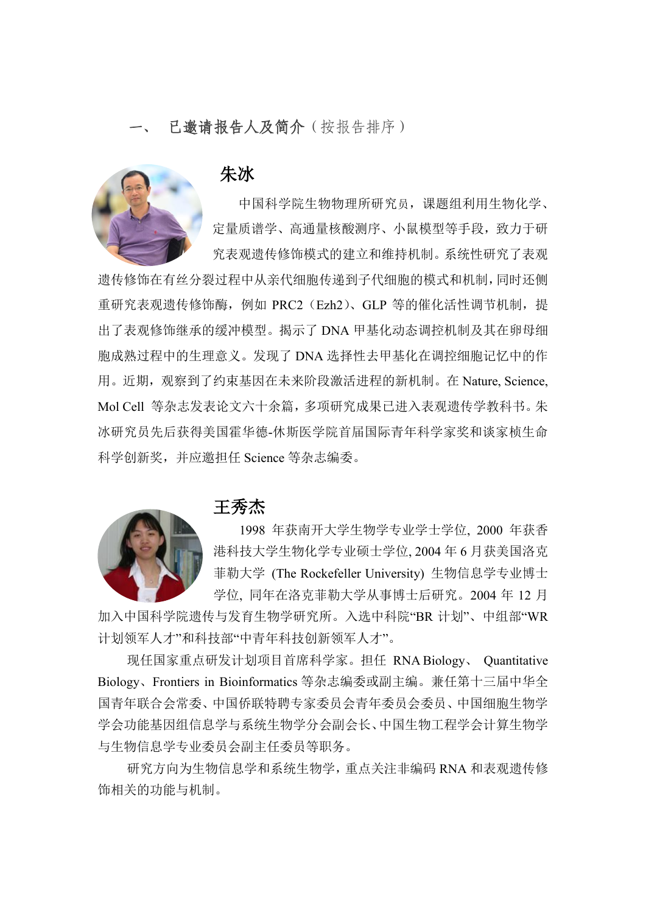### 已邀请报告人及简介(按报告排序)



朱冰

中国科学院生物物理所研究员,课题组利用生物化学、 定量质谱学、高通量核酸测序、小鼠模型等手段,致力于研 究表观遗传修饰模式的建立和维持机制。系统性研究了表观

遗传修饰在有丝分裂过程中从亲代细胞传递到子代细胞的模式和机制,同时还侧 重研究表观遗传修饰酶,例如 PRC2 (Ezh2)、GLP 等的催化活性调节机制, 提 出了表观修饰继承的缓冲模型。揭示了 DNA 甲基化动态调控机制及其在卵母细 胞成熟过程中的生理意义。发现了 DNA 选择性去甲基化在调控细胞记忆中的作 用。近期,观察到了约束基因在未来阶段激活进程的新机制。在 Nature, Science, Mol Cell 等杂志发表论文六十余篇,多项研究成果已进入表观遗传学教科书。朱 冰研究员先后获得美国霍华德-休斯医学院首届国际青年科学家奖和谈家桢生命 科学创新奖,并应邀担任 Science 等杂志编委。



#### 王秀杰

1998 年获南开大学生物学专业学士学位, 2000 年获香 港科技大学生物化学专业硕士学位, 2004 年 6 月获美国洛克 菲勒大学 (The Rockefeller University) 生物信息学专业博士 学位, 同年在洛克菲勒大学从事博士后研究。2004 年 12 月

加入中国科学院遗传与发育生物学研究所。入选中科院"BR 计划"、中组部"WR 计划领军人才"和科技部"中青年科技创新领军人才"。

现任国家重点研发计划项目首席科学家。担任 RNA Biology、 Quantitative Biology、Frontiers in Bioinformatics 等杂志编委或副主编。兼任第十三届中华全 国青年联合会常委、中国侨联特聘专家委员会青年委员会委员、中国细胞生物学 学会功能基因组信息学与系统生物学分会副会长、中国生物工程学会计算生物学 与生物信息学专业委员会副主任委员等职务。

研究方向为生物信息学和系统生物学,重点关注非编码 RNA 和表观遗传修 饰相关的功能与机制。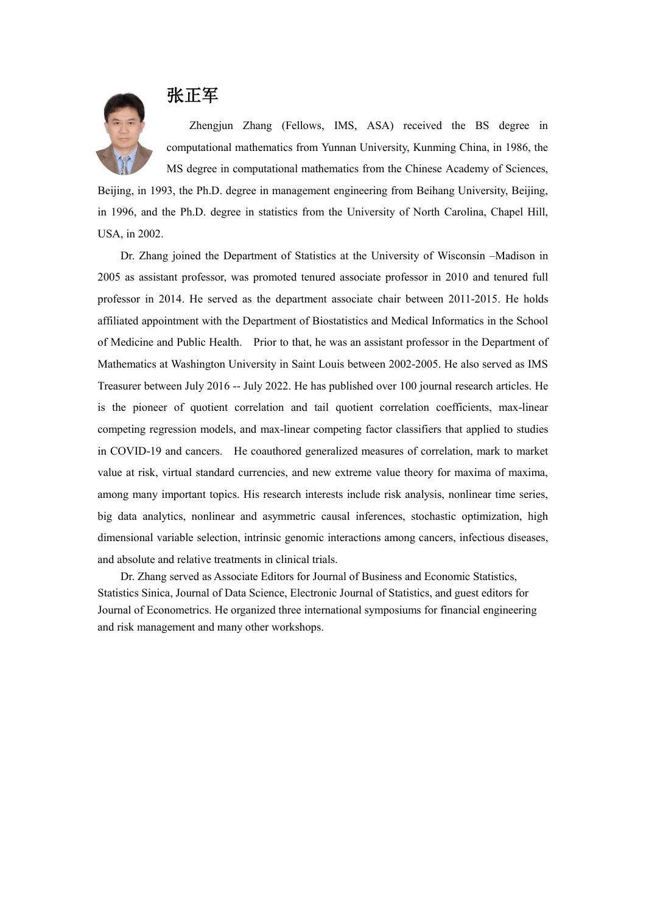

Zhengjun Zhang (Fellows, IMS, ASA) received the BS degree in computational mathematics from Yunnan University, Kunming China, in 1986, the MS degree in computational mathematics from the Chinese Academy of Sciences,

Beijing, in 1993, the Ph.D. degree in management engineering from Beihang University, Beijing, in 1996, and the Ph.D. degree in statistics from the University of North Carolina, Chapel Hill, USA, in 2002.

Dr. Zhang joined the Department of Statistics at the University of Wisconsin –Madison in 2005 as assistant professor, was promoted tenured associate professor in 2010 and tenured full professor in 2014. He served as the department associate chair between 2011-2015. He holds affiliated appointment with the Department of Biostatistics and Medical Informatics in the School of Medicine and Public Health. Prior to that, he was an assistant professor in the Department of Mathematics at Washington University in Saint Louis between 2002-2005. He also served as IMS Treasurer between July 2016 -- July 2022. He has published over 100 journal research articles. He is the pioneer of quotient correlation and tail quotient correlation coefficients, max-linear competing regression models, and max-linear competing factor classifiers that applied to studies in COVID-19 and cancers. He coauthored generalized measures of correlation, mark to market value at risk, virtual standard currencies, and new extreme value theory for maxima of maxima, among many important topics. His research interests include risk analysis, nonlinear time series, big data analytics, nonlinear and asymmetric causal inferences, stochastic optimization, high dimensional variable selection, intrinsic genomic interactions among cancers, infectious diseases, and absolute and relative treatments in clinical trials.

Dr. Zhang served as Associate Editors for Journal of Business and Economic Statistics, Statistics Sinica, Journal of Data Science, Electronic Journal of Statistics, and guest editors for Journal of Econometrics. He organized three international symposiums for financial engineering and risk management and many other workshops.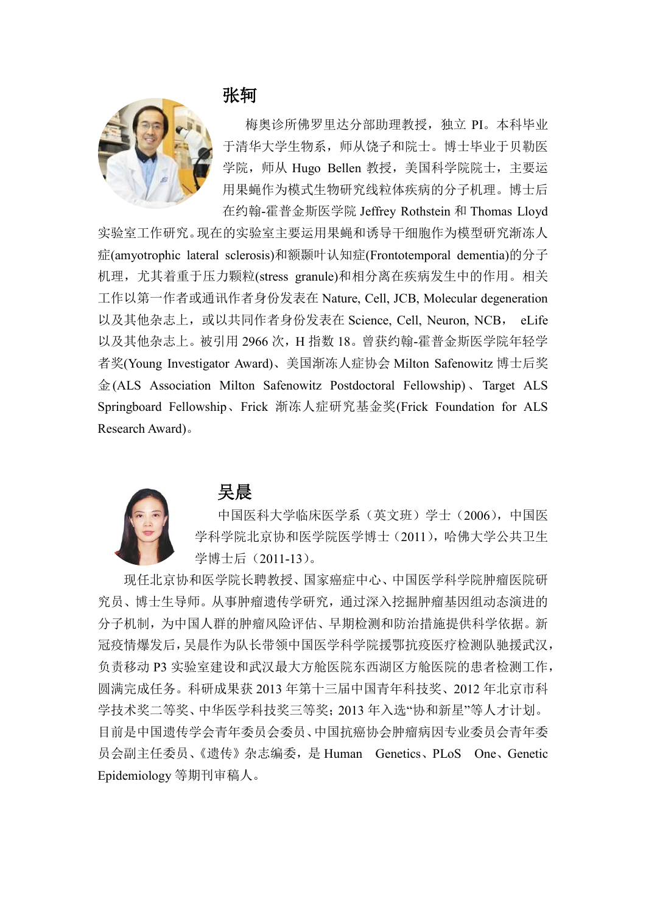

张轲

梅奥诊所佛罗里达分部助理教授,独立 PI。本科毕业 于清华大学生物系,师从饶子和院士。博士毕业于贝勒医 学院, 师从 Hugo Bellen 教授, 美国科学院院士, 主要运 用果蝇作为模式生物研究线粒体疾病的分子机理。博士后 在约翰-霍普金斯医学院 Jeffrey Rothstein 和 Thomas Lloyd

实验室工作研究。现在的实验室主要运用果蝇和诱导干细胞作为模型研究渐冻人 症(amyotrophic lateral sclerosis)和额颞叶认知症(Frontotemporal dementia)的分子 机理, 尤其着重于压力颗粒(stress granule)和相分离在疾病发生中的作用。相关 工作以第一作者或通讯作者身份发表在 Nature, Cell, JCB, Molecular degeneration 以及其他杂志上, 或以共同作者身份发表在 Science, Cell, Neuron, NCB, eLife 以及其他杂志上。被引用 2966 次, H 指数 18。曾获约翰-霍普金斯医学院年轻学 者奖(Young Investigator Award)、美国渐冻人症协会 Milton Safenowitz 博士后奖 金(ALS Association Milton Safenowitz Postdoctoral Fellowship)、Target ALS Springboard Fellowship、Frick 渐冻人症研究基金奖(Frick Foundation for ALS Research Award)。



#### 吴晨

[中国医科大学临](https://baike.baidu.com/item/%E4%B8%AD%E5%9B%BD%E5%8C%BB%E7%A7%91%E5%A4%A7%E5%AD%A6)床医学系(英文班)学士(2006)[,中国医](https://baike.baidu.com/item/%E4%B8%AD%E5%9B%BD%E5%8C%BB%E5%AD%A6%E7%A7%91%E5%AD%A6%E9%99%A2) [学科学院](https://baike.baidu.com/item/%E4%B8%AD%E5%9B%BD%E5%8C%BB%E5%AD%A6%E7%A7%91%E5%AD%A6%E9%99%A2)[北京协和医学院](https://baike.baidu.com/item/%E5%8C%97%E4%BA%AC%E5%8D%8F%E5%92%8C%E5%8C%BB%E5%AD%A6%E9%99%A2)[医学博士\(](https://baike.baidu.com/item/%E5%8C%BB%E5%AD%A6%E5%8D%9A%E5%A3%AB%E5%AD%A6%E4%BD%8D/14712600)2011)[,哈佛大学公](https://baike.baidu.com/item/%E5%93%88%E4%BD%9B%E5%A4%A7%E5%AD%A6)共卫生 学博士后(2011-13)。

现任北京协和医学院长聘教授、国家癌症中心、中国医学科学院肿瘤医院研 究员、博士生导师。从事肿瘤遗传学研究,通过深入挖掘肿瘤基因组动态演进的 分子机制,为中国人群的肿瘤风险评估、早期检测和防治措施提供科学依据。新 冠疫情爆发后,吴晨作为队长带领中国医学科学院援鄂抗疫医疗检测队驰援武汉, 负责移动 P3 实验室建设和武汉最大方舱医院东西湖区方舱医院的患者检测工作, 圆满完成任务。科研成果获 2013 年第十三[届中国青年科技奖、](https://baike.baidu.com/item/%E4%B8%AD%E5%9B%BD%E9%9D%92%E5%B9%B4%E7%A7%91%E6%8A%80%E5%A5%96)2012 年北京市科 学技术奖二等奖、中华医学科技奖三等奖;2013 年入选"协和新星"等人才计划。 目前[是中国遗传学会青](https://baike.baidu.com/item/%E4%B8%AD%E5%9B%BD%E9%81%97%E4%BC%A0%E5%AD%A6%E4%BC%9A)年委员会委员[、中国抗癌协会肿](https://baike.baidu.com/item/%E4%B8%AD%E5%9B%BD%E6%8A%97%E7%99%8C%E5%8D%8F%E4%BC%9A)瘤病因专业委员会青年委 员会副主任委员、[《遗传》](https://baike.baidu.com/item/%E9%81%97%E4%BC%A0/13016342)杂志编委,是 Human Genetics、PLoS One、Genetic Epidemiology 等期刊审稿人。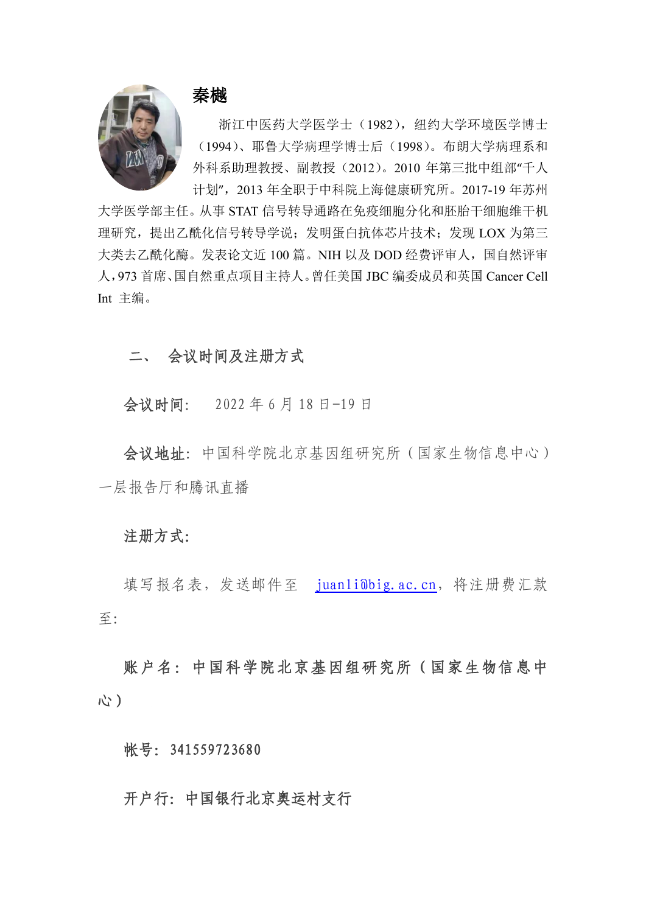

## 秦樾

浙江中医药大学医学士(1982), 纽约大学环境医学博士 (1994)、耶鲁大学病理学博士后(1998)。布朗大学病理系和 外科系助理教授、副教授(2012)。2010 年第三批中组部"千人 计划",2013 年全职于中科院上海健康研究所。2017-19 年苏州

大学医学部主任。从事 STAT 信号转导通路在免疫细胞分化和胚胎干细胞维干机 理研究,提出乙酰化信号转导学说;发明蛋白抗体芯片技术;发现 LOX 为第三 大类去乙酰化酶。发表论文近 100 篇。NIH 以及 DOD 经费评审人,国自然评审 人,973 首席、国自然重点项目主持人。曾任美国 JBC 编委成员和英国 Cancer Cell Int 主编。

### 二、 会议时间及注册方式

会议时间: 2022 年 6 月 18 日-19 日

会议地址:中国科学院北京基因组研究所(国家生物信息中心) 一层报告厅和腾讯直播

#### 注册方式:

填写报名表,发送邮件至 [juanli@big.ac.cn](mailto:juanli@big.ac.cn), 将注册费汇款 至:

账户名:中国科学院北京基因组研究所(国家生物信息中 心)

帐号: 341559723680

### 开户行:中国银行北京奥运村支行